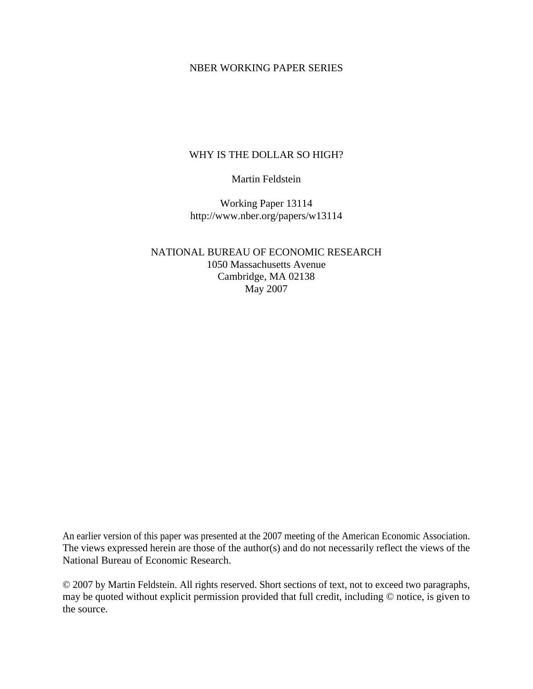#### NBER WORKING PAPER SERIES

### WHY IS THE DOLLAR SO HIGH?

Martin Feldstein

Working Paper 13114 http://www.nber.org/papers/w13114

NATIONAL BUREAU OF ECONOMIC RESEARCH 1050 Massachusetts Avenue Cambridge, MA 02138 May 2007

An earlier version of this paper was presented at the 2007 meeting of the American Economic Association. The views expressed herein are those of the author(s) and do not necessarily reflect the views of the National Bureau of Economic Research.

© 2007 by Martin Feldstein. All rights reserved. Short sections of text, not to exceed two paragraphs, may be quoted without explicit permission provided that full credit, including © notice, is given to the source.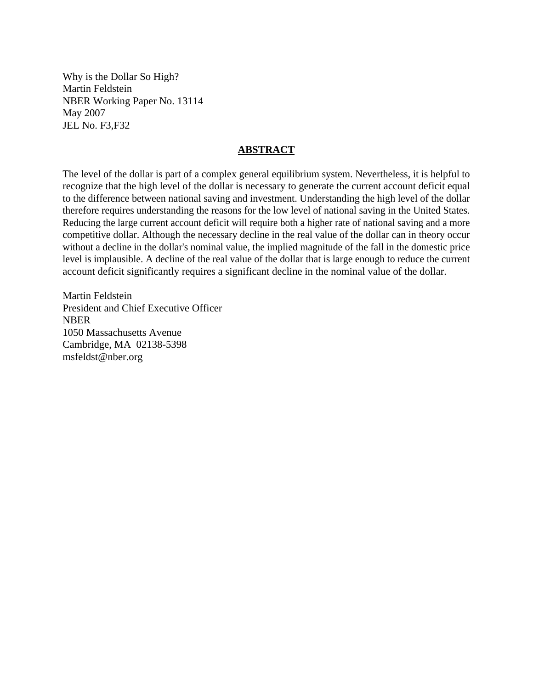Why is the Dollar So High? Martin Feldstein NBER Working Paper No. 13114 May 2007 JEL No. F3,F32

#### **ABSTRACT**

The level of the dollar is part of a complex general equilibrium system. Nevertheless, it is helpful to recognize that the high level of the dollar is necessary to generate the current account deficit equal to the difference between national saving and investment. Understanding the high level of the dollar therefore requires understanding the reasons for the low level of national saving in the United States. Reducing the large current account deficit will require both a higher rate of national saving and a more competitive dollar. Although the necessary decline in the real value of the dollar can in theory occur without a decline in the dollar's nominal value, the implied magnitude of the fall in the domestic price level is implausible. A decline of the real value of the dollar that is large enough to reduce the current account deficit significantly requires a significant decline in the nominal value of the dollar.

Martin Feldstein President and Chief Executive Officer NBER 1050 Massachusetts Avenue Cambridge, MA 02138-5398 msfeldst@nber.org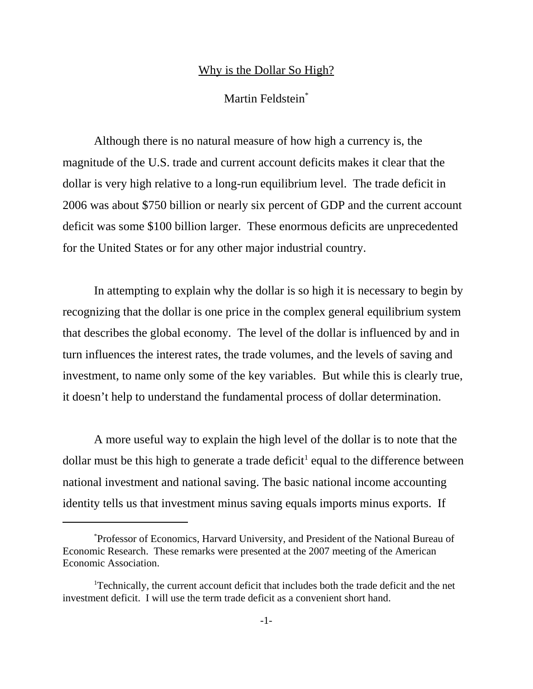### Why is the Dollar So High?

# Martin Feldstein\*

Although there is no natural measure of how high a currency is, the magnitude of the U.S. trade and current account deficits makes it clear that the dollar is very high relative to a long-run equilibrium level. The trade deficit in 2006 was about \$750 billion or nearly six percent of GDP and the current account deficit was some \$100 billion larger. These enormous deficits are unprecedented for the United States or for any other major industrial country.

In attempting to explain why the dollar is so high it is necessary to begin by recognizing that the dollar is one price in the complex general equilibrium system that describes the global economy. The level of the dollar is influenced by and in turn influences the interest rates, the trade volumes, and the levels of saving and investment, to name only some of the key variables. But while this is clearly true, it doesn't help to understand the fundamental process of dollar determination.

A more useful way to explain the high level of the dollar is to note that the dollar must be this high to generate a trade deficit<sup>1</sup> equal to the difference between national investment and national saving. The basic national income accounting identity tells us that investment minus saving equals imports minus exports. If

<sup>\*</sup> Professor of Economics, Harvard University, and President of the National Bureau of Economic Research. These remarks were presented at the 2007 meeting of the American Economic Association.

<sup>&</sup>lt;sup>1</sup>Technically, the current account deficit that includes both the trade deficit and the net investment deficit. I will use the term trade deficit as a convenient short hand.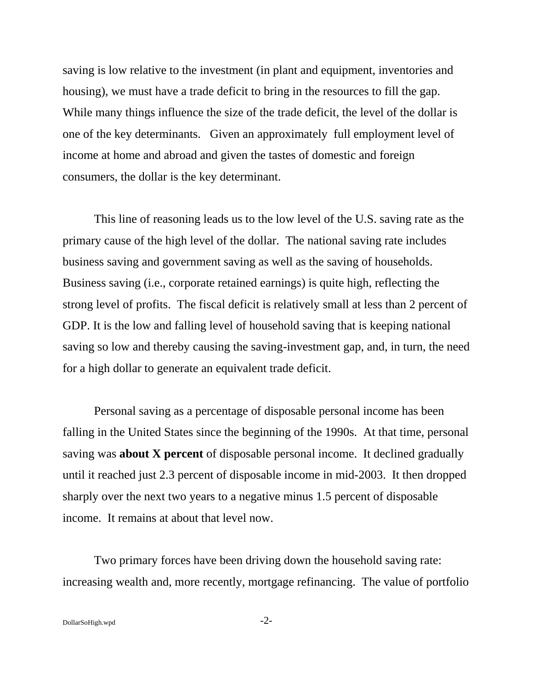saving is low relative to the investment (in plant and equipment, inventories and housing), we must have a trade deficit to bring in the resources to fill the gap. While many things influence the size of the trade deficit, the level of the dollar is one of the key determinants. Given an approximately full employment level of income at home and abroad and given the tastes of domestic and foreign consumers, the dollar is the key determinant.

This line of reasoning leads us to the low level of the U.S. saving rate as the primary cause of the high level of the dollar. The national saving rate includes business saving and government saving as well as the saving of households. Business saving (i.e., corporate retained earnings) is quite high, reflecting the strong level of profits. The fiscal deficit is relatively small at less than 2 percent of GDP. It is the low and falling level of household saving that is keeping national saving so low and thereby causing the saving-investment gap, and, in turn, the need for a high dollar to generate an equivalent trade deficit.

Personal saving as a percentage of disposable personal income has been falling in the United States since the beginning of the 1990s. At that time, personal saving was **about X percent** of disposable personal income. It declined gradually until it reached just 2.3 percent of disposable income in mid-2003. It then dropped sharply over the next two years to a negative minus 1.5 percent of disposable income. It remains at about that level now.

Two primary forces have been driving down the household saving rate: increasing wealth and, more recently, mortgage refinancing. The value of portfolio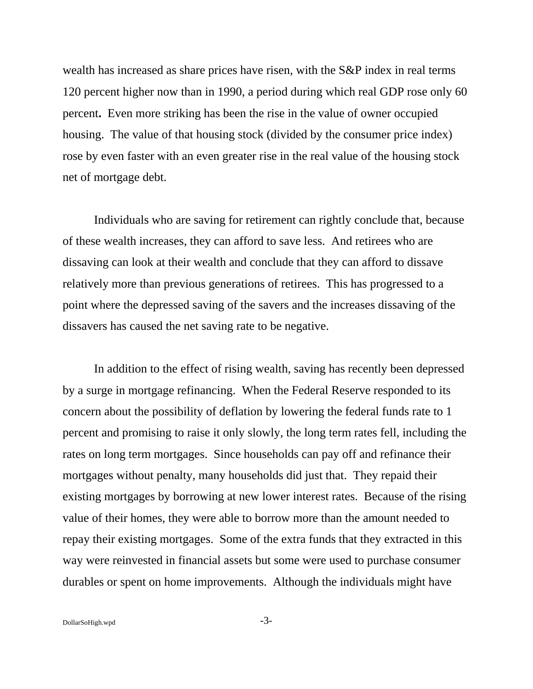wealth has increased as share prices have risen, with the S&P index in real terms 120 percent higher now than in 1990, a period during which real GDP rose only 60 percent**.** Even more striking has been the rise in the value of owner occupied housing. The value of that housing stock (divided by the consumer price index) rose by even faster with an even greater rise in the real value of the housing stock net of mortgage debt.

Individuals who are saving for retirement can rightly conclude that, because of these wealth increases, they can afford to save less. And retirees who are dissaving can look at their wealth and conclude that they can afford to dissave relatively more than previous generations of retirees. This has progressed to a point where the depressed saving of the savers and the increases dissaving of the dissavers has caused the net saving rate to be negative.

In addition to the effect of rising wealth, saving has recently been depressed by a surge in mortgage refinancing. When the Federal Reserve responded to its concern about the possibility of deflation by lowering the federal funds rate to 1 percent and promising to raise it only slowly, the long term rates fell, including the rates on long term mortgages. Since households can pay off and refinance their mortgages without penalty, many households did just that. They repaid their existing mortgages by borrowing at new lower interest rates. Because of the rising value of their homes, they were able to borrow more than the amount needed to repay their existing mortgages. Some of the extra funds that they extracted in this way were reinvested in financial assets but some were used to purchase consumer durables or spent on home improvements. Although the individuals might have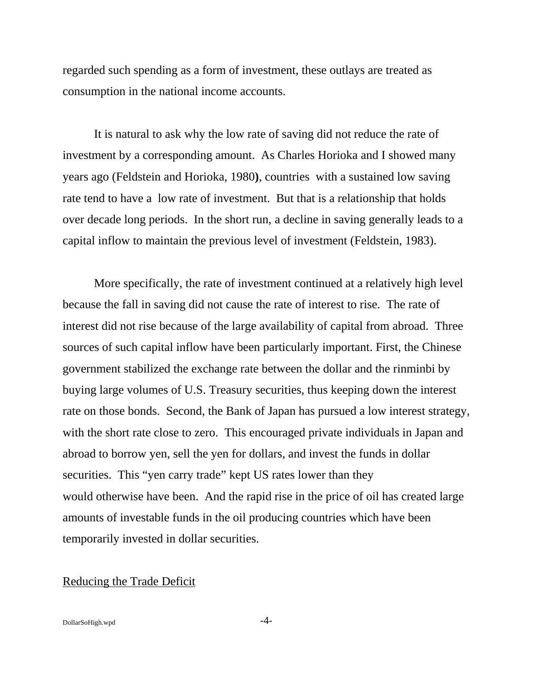regarded such spending as a form of investment, these outlays are treated as consumption in the national income accounts.

It is natural to ask why the low rate of saving did not reduce the rate of investment by a corresponding amount. As Charles Horioka and I showed many years ago (Feldstein and Horioka, 1980**)**, countries with a sustained low saving rate tend to have a low rate of investment. But that is a relationship that holds over decade long periods. In the short run, a decline in saving generally leads to a capital inflow to maintain the previous level of investment (Feldstein, 1983).

More specifically, the rate of investment continued at a relatively high level because the fall in saving did not cause the rate of interest to rise. The rate of interest did not rise because of the large availability of capital from abroad. Three sources of such capital inflow have been particularly important. First, the Chinese government stabilized the exchange rate between the dollar and the rinminbi by buying large volumes of U.S. Treasury securities, thus keeping down the interest rate on those bonds. Second, the Bank of Japan has pursued a low interest strategy, with the short rate close to zero. This encouraged private individuals in Japan and abroad to borrow yen, sell the yen for dollars, and invest the funds in dollar securities. This "yen carry trade" kept US rates lower than they would otherwise have been. And the rapid rise in the price of oil has created large amounts of investable funds in the oil producing countries which have been temporarily invested in dollar securities.

### Reducing the Trade Deficit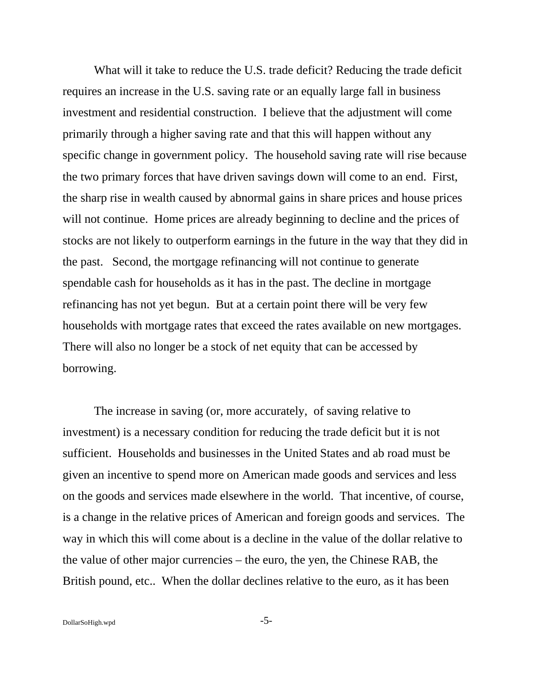What will it take to reduce the U.S. trade deficit? Reducing the trade deficit requires an increase in the U.S. saving rate or an equally large fall in business investment and residential construction. I believe that the adjustment will come primarily through a higher saving rate and that this will happen without any specific change in government policy. The household saving rate will rise because the two primary forces that have driven savings down will come to an end. First, the sharp rise in wealth caused by abnormal gains in share prices and house prices will not continue. Home prices are already beginning to decline and the prices of stocks are not likely to outperform earnings in the future in the way that they did in the past. Second, the mortgage refinancing will not continue to generate spendable cash for households as it has in the past. The decline in mortgage refinancing has not yet begun. But at a certain point there will be very few households with mortgage rates that exceed the rates available on new mortgages. There will also no longer be a stock of net equity that can be accessed by borrowing.

The increase in saving (or, more accurately, of saving relative to investment) is a necessary condition for reducing the trade deficit but it is not sufficient. Households and businesses in the United States and ab road must be given an incentive to spend more on American made goods and services and less on the goods and services made elsewhere in the world. That incentive, of course, is a change in the relative prices of American and foreign goods and services. The way in which this will come about is a decline in the value of the dollar relative to the value of other major currencies – the euro, the yen, the Chinese RAB, the British pound, etc.. When the dollar declines relative to the euro, as it has been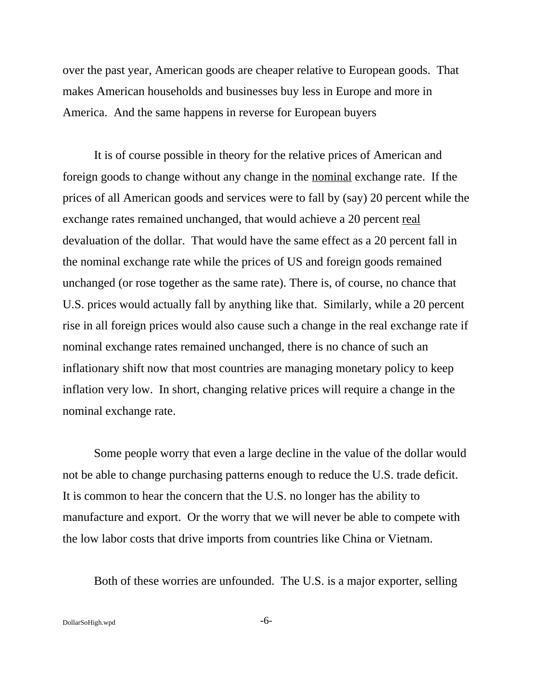over the past year, American goods are cheaper relative to European goods. That makes American households and businesses buy less in Europe and more in America. And the same happens in reverse for European buyers

It is of course possible in theory for the relative prices of American and foreign goods to change without any change in the nominal exchange rate. If the prices of all American goods and services were to fall by (say) 20 percent while the exchange rates remained unchanged, that would achieve a 20 percent real devaluation of the dollar. That would have the same effect as a 20 percent fall in the nominal exchange rate while the prices of US and foreign goods remained unchanged (or rose together as the same rate). There is, of course, no chance that U.S. prices would actually fall by anything like that. Similarly, while a 20 percent rise in all foreign prices would also cause such a change in the real exchange rate if nominal exchange rates remained unchanged, there is no chance of such an inflationary shift now that most countries are managing monetary policy to keep inflation very low. In short, changing relative prices will require a change in the nominal exchange rate.

Some people worry that even a large decline in the value of the dollar would not be able to change purchasing patterns enough to reduce the U.S. trade deficit. It is common to hear the concern that the U.S. no longer has the ability to manufacture and export. Or the worry that we will never be able to compete with the low labor costs that drive imports from countries like China or Vietnam.

Both of these worries are unfounded. The U.S. is a major exporter, selling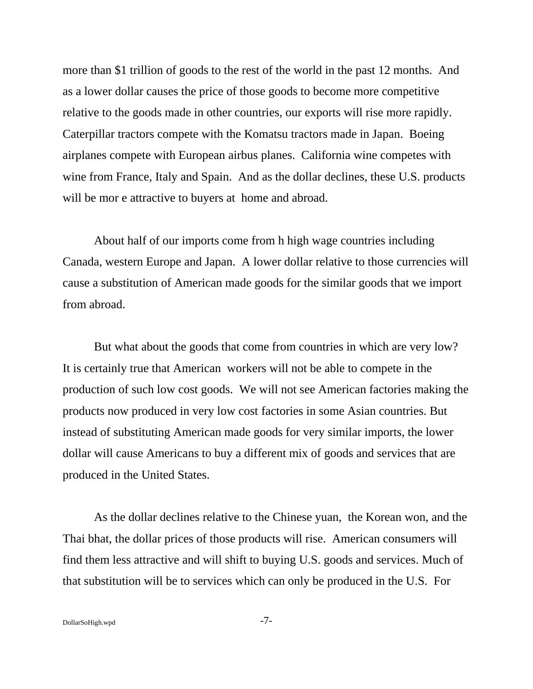more than \$1 trillion of goods to the rest of the world in the past 12 months. And as a lower dollar causes the price of those goods to become more competitive relative to the goods made in other countries, our exports will rise more rapidly. Caterpillar tractors compete with the Komatsu tractors made in Japan. Boeing airplanes compete with European airbus planes. California wine competes with wine from France, Italy and Spain. And as the dollar declines, these U.S. products will be mor e attractive to buyers at home and abroad.

About half of our imports come from h high wage countries including Canada, western Europe and Japan. A lower dollar relative to those currencies will cause a substitution of American made goods for the similar goods that we import from abroad.

But what about the goods that come from countries in which are very low? It is certainly true that American workers will not be able to compete in the production of such low cost goods. We will not see American factories making the products now produced in very low cost factories in some Asian countries. But instead of substituting American made goods for very similar imports, the lower dollar will cause Americans to buy a different mix of goods and services that are produced in the United States.

As the dollar declines relative to the Chinese yuan, the Korean won, and the Thai bhat, the dollar prices of those products will rise. American consumers will find them less attractive and will shift to buying U.S. goods and services. Much of that substitution will be to services which can only be produced in the U.S. For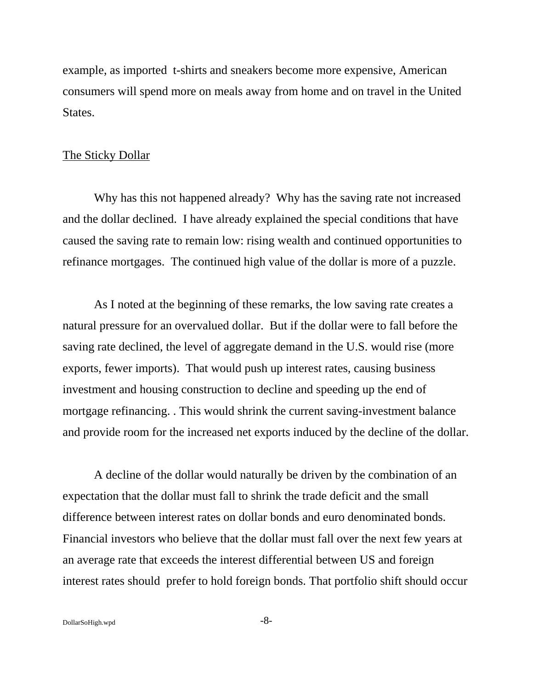example, as imported t-shirts and sneakers become more expensive, American consumers will spend more on meals away from home and on travel in the United States.

# The Sticky Dollar

Why has this not happened already? Why has the saving rate not increased and the dollar declined. I have already explained the special conditions that have caused the saving rate to remain low: rising wealth and continued opportunities to refinance mortgages. The continued high value of the dollar is more of a puzzle.

As I noted at the beginning of these remarks, the low saving rate creates a natural pressure for an overvalued dollar. But if the dollar were to fall before the saving rate declined, the level of aggregate demand in the U.S. would rise (more exports, fewer imports). That would push up interest rates, causing business investment and housing construction to decline and speeding up the end of mortgage refinancing. . This would shrink the current saving-investment balance and provide room for the increased net exports induced by the decline of the dollar.

A decline of the dollar would naturally be driven by the combination of an expectation that the dollar must fall to shrink the trade deficit and the small difference between interest rates on dollar bonds and euro denominated bonds. Financial investors who believe that the dollar must fall over the next few years at an average rate that exceeds the interest differential between US and foreign interest rates should prefer to hold foreign bonds. That portfolio shift should occur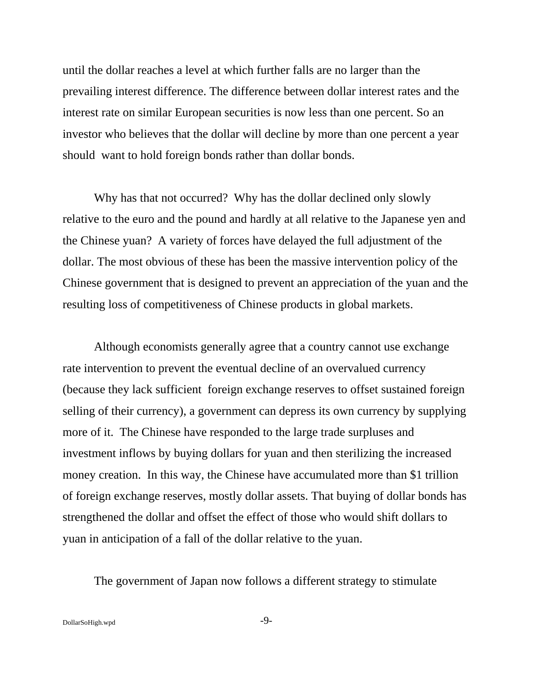until the dollar reaches a level at which further falls are no larger than the prevailing interest difference. The difference between dollar interest rates and the interest rate on similar European securities is now less than one percent. So an investor who believes that the dollar will decline by more than one percent a year should want to hold foreign bonds rather than dollar bonds.

Why has that not occurred? Why has the dollar declined only slowly relative to the euro and the pound and hardly at all relative to the Japanese yen and the Chinese yuan? A variety of forces have delayed the full adjustment of the dollar. The most obvious of these has been the massive intervention policy of the Chinese government that is designed to prevent an appreciation of the yuan and the resulting loss of competitiveness of Chinese products in global markets.

Although economists generally agree that a country cannot use exchange rate intervention to prevent the eventual decline of an overvalued currency (because they lack sufficient foreign exchange reserves to offset sustained foreign selling of their currency), a government can depress its own currency by supplying more of it. The Chinese have responded to the large trade surpluses and investment inflows by buying dollars for yuan and then sterilizing the increased money creation. In this way, the Chinese have accumulated more than \$1 trillion of foreign exchange reserves, mostly dollar assets. That buying of dollar bonds has strengthened the dollar and offset the effect of those who would shift dollars to yuan in anticipation of a fall of the dollar relative to the yuan.

The government of Japan now follows a different strategy to stimulate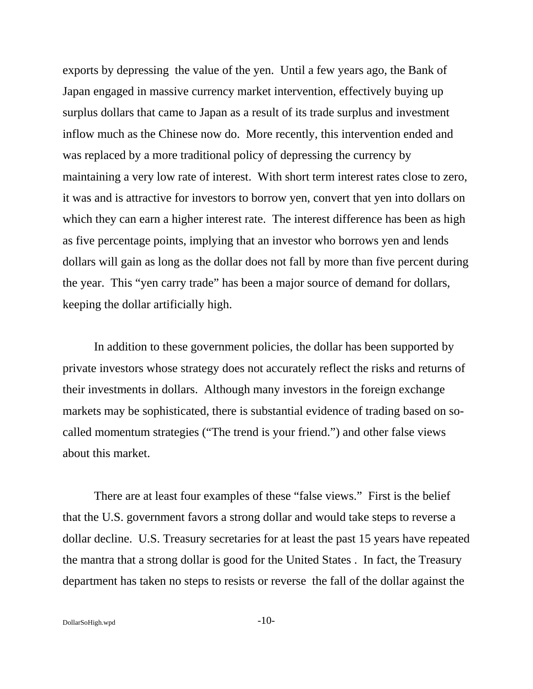exports by depressing the value of the yen. Until a few years ago, the Bank of Japan engaged in massive currency market intervention, effectively buying up surplus dollars that came to Japan as a result of its trade surplus and investment inflow much as the Chinese now do. More recently, this intervention ended and was replaced by a more traditional policy of depressing the currency by maintaining a very low rate of interest. With short term interest rates close to zero, it was and is attractive for investors to borrow yen, convert that yen into dollars on which they can earn a higher interest rate. The interest difference has been as high as five percentage points, implying that an investor who borrows yen and lends dollars will gain as long as the dollar does not fall by more than five percent during the year. This "yen carry trade" has been a major source of demand for dollars, keeping the dollar artificially high.

In addition to these government policies, the dollar has been supported by private investors whose strategy does not accurately reflect the risks and returns of their investments in dollars. Although many investors in the foreign exchange markets may be sophisticated, there is substantial evidence of trading based on socalled momentum strategies ("The trend is your friend.") and other false views about this market.

There are at least four examples of these "false views." First is the belief that the U.S. government favors a strong dollar and would take steps to reverse a dollar decline. U.S. Treasury secretaries for at least the past 15 years have repeated the mantra that a strong dollar is good for the United States . In fact, the Treasury department has taken no steps to resists or reverse the fall of the dollar against the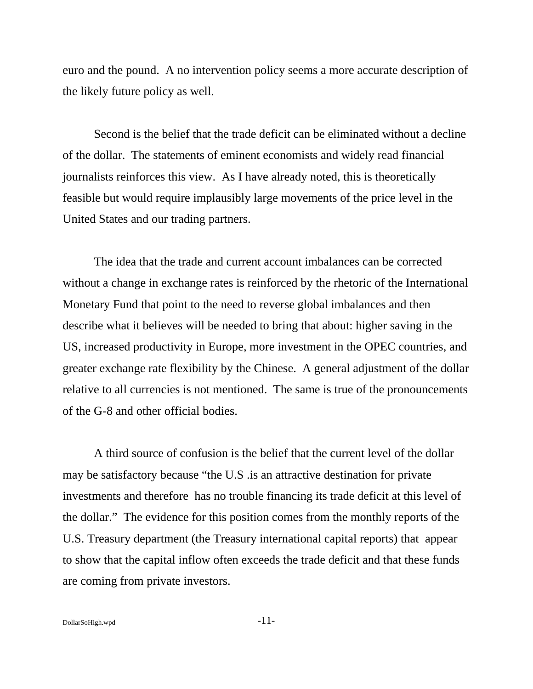euro and the pound. A no intervention policy seems a more accurate description of the likely future policy as well.

Second is the belief that the trade deficit can be eliminated without a decline of the dollar. The statements of eminent economists and widely read financial journalists reinforces this view. As I have already noted, this is theoretically feasible but would require implausibly large movements of the price level in the United States and our trading partners.

The idea that the trade and current account imbalances can be corrected without a change in exchange rates is reinforced by the rhetoric of the International Monetary Fund that point to the need to reverse global imbalances and then describe what it believes will be needed to bring that about: higher saving in the US, increased productivity in Europe, more investment in the OPEC countries, and greater exchange rate flexibility by the Chinese. A general adjustment of the dollar relative to all currencies is not mentioned. The same is true of the pronouncements of the G-8 and other official bodies.

A third source of confusion is the belief that the current level of the dollar may be satisfactory because "the U.S .is an attractive destination for private investments and therefore has no trouble financing its trade deficit at this level of the dollar." The evidence for this position comes from the monthly reports of the U.S. Treasury department (the Treasury international capital reports) that appear to show that the capital inflow often exceeds the trade deficit and that these funds are coming from private investors.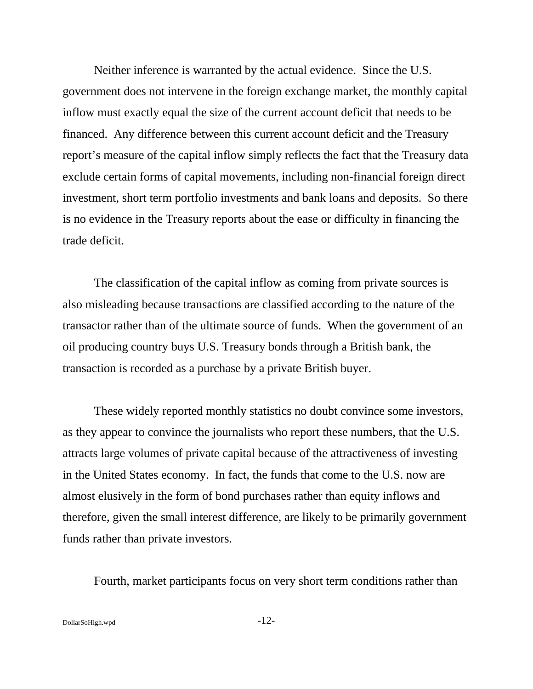Neither inference is warranted by the actual evidence. Since the U.S. government does not intervene in the foreign exchange market, the monthly capital inflow must exactly equal the size of the current account deficit that needs to be financed. Any difference between this current account deficit and the Treasury report's measure of the capital inflow simply reflects the fact that the Treasury data exclude certain forms of capital movements, including non-financial foreign direct investment, short term portfolio investments and bank loans and deposits. So there is no evidence in the Treasury reports about the ease or difficulty in financing the trade deficit.

The classification of the capital inflow as coming from private sources is also misleading because transactions are classified according to the nature of the transactor rather than of the ultimate source of funds. When the government of an oil producing country buys U.S. Treasury bonds through a British bank, the transaction is recorded as a purchase by a private British buyer.

These widely reported monthly statistics no doubt convince some investors, as they appear to convince the journalists who report these numbers, that the U.S. attracts large volumes of private capital because of the attractiveness of investing in the United States economy. In fact, the funds that come to the U.S. now are almost elusively in the form of bond purchases rather than equity inflows and therefore, given the small interest difference, are likely to be primarily government funds rather than private investors.

Fourth, market participants focus on very short term conditions rather than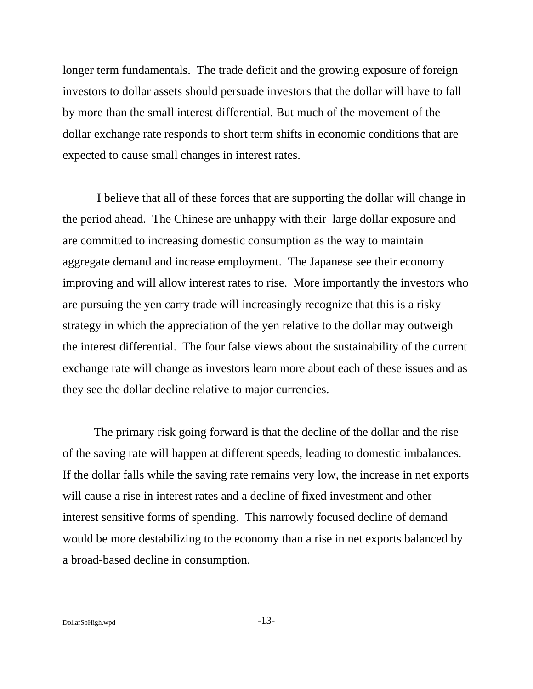longer term fundamentals. The trade deficit and the growing exposure of foreign investors to dollar assets should persuade investors that the dollar will have to fall by more than the small interest differential. But much of the movement of the dollar exchange rate responds to short term shifts in economic conditions that are expected to cause small changes in interest rates.

 I believe that all of these forces that are supporting the dollar will change in the period ahead. The Chinese are unhappy with their large dollar exposure and are committed to increasing domestic consumption as the way to maintain aggregate demand and increase employment. The Japanese see their economy improving and will allow interest rates to rise. More importantly the investors who are pursuing the yen carry trade will increasingly recognize that this is a risky strategy in which the appreciation of the yen relative to the dollar may outweigh the interest differential. The four false views about the sustainability of the current exchange rate will change as investors learn more about each of these issues and as they see the dollar decline relative to major currencies.

The primary risk going forward is that the decline of the dollar and the rise of the saving rate will happen at different speeds, leading to domestic imbalances. If the dollar falls while the saving rate remains very low, the increase in net exports will cause a rise in interest rates and a decline of fixed investment and other interest sensitive forms of spending. This narrowly focused decline of demand would be more destabilizing to the economy than a rise in net exports balanced by a broad-based decline in consumption.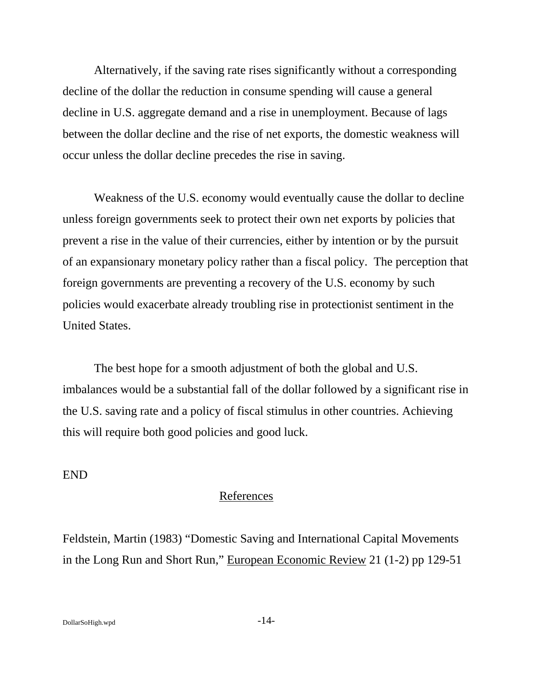Alternatively, if the saving rate rises significantly without a corresponding decline of the dollar the reduction in consume spending will cause a general decline in U.S. aggregate demand and a rise in unemployment. Because of lags between the dollar decline and the rise of net exports, the domestic weakness will occur unless the dollar decline precedes the rise in saving.

Weakness of the U.S. economy would eventually cause the dollar to decline unless foreign governments seek to protect their own net exports by policies that prevent a rise in the value of their currencies, either by intention or by the pursuit of an expansionary monetary policy rather than a fiscal policy. The perception that foreign governments are preventing a recovery of the U.S. economy by such policies would exacerbate already troubling rise in protectionist sentiment in the United States.

The best hope for a smooth adjustment of both the global and U.S. imbalances would be a substantial fall of the dollar followed by a significant rise in the U.S. saving rate and a policy of fiscal stimulus in other countries. Achieving this will require both good policies and good luck.

### END

### References

Feldstein, Martin (1983) "Domestic Saving and International Capital Movements in the Long Run and Short Run," European Economic Review 21 (1-2) pp 129-51